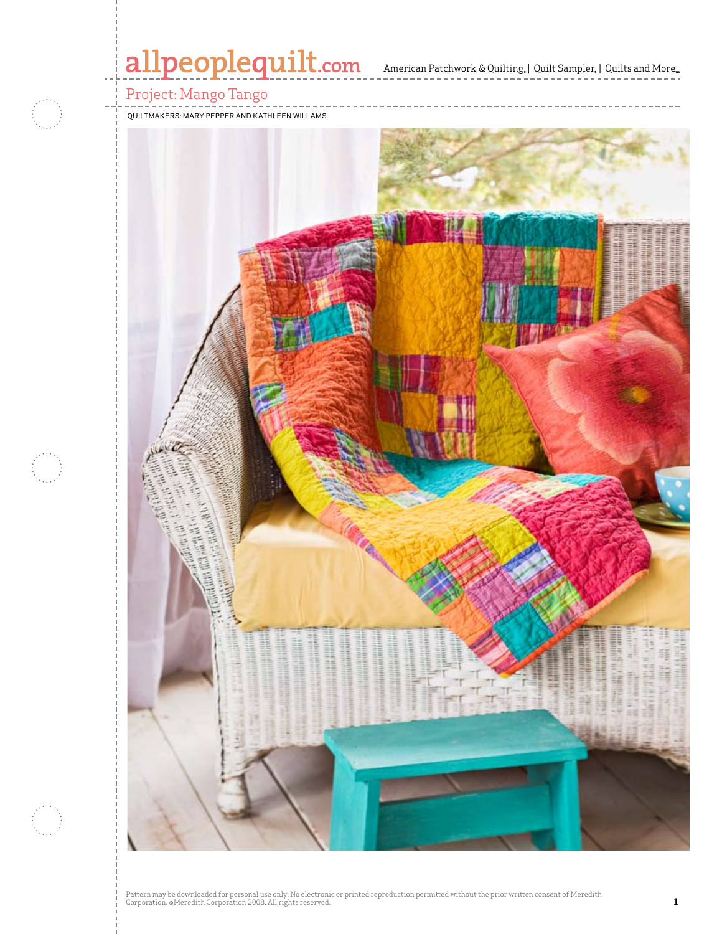# allpeoplequilt.com<br>american Patchwork & Quilting, | Quilt Sampler, | Quilts and More...

Project: Mango Tango

Quiltmakers: Mary Pepper and Kathleen Willams

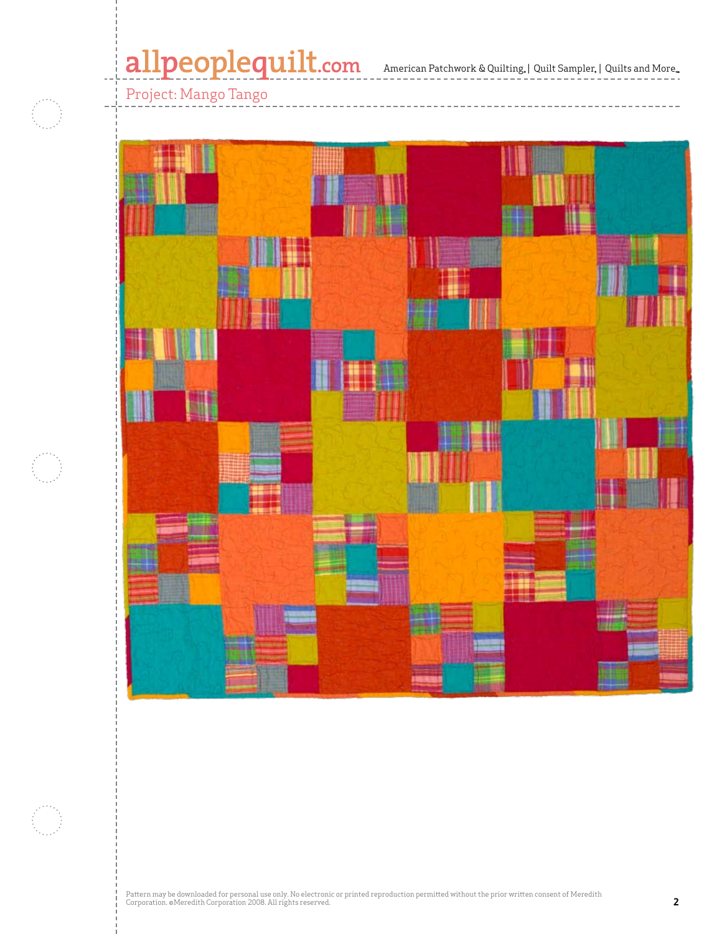## Project: Mango Tango